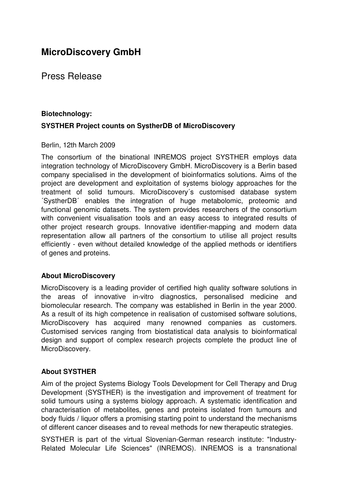# **MicroDiscovery GmbH**

### Press Release

## **Biotechnology: SYSTHER Project counts on SystherDB of MicroDiscovery**

#### Berlin, 12th March 2009

The consortium of the binational INREMOS project SYSTHER employs data integration technology of MicroDiscovery GmbH. MicroDiscovery is a Berlin based company specialised in the development of bioinformatics solutions. Aims of the project are development and exploitation of systems biology approaches for the treatment of solid tumours. MicroDiscovery´s customised database system ´SystherDB´ enables the integration of huge metabolomic, proteomic and functional genomic datasets. The system provides researchers of the consortium with convenient visualisation tools and an easy access to integrated results of other project research groups. Innovative identifier-mapping and modern data representation allow all partners of the consortium to utilise all project results efficiently - even without detailed knowledge of the applied methods or identifiers of genes and proteins.

#### **About MicroDiscovery**

MicroDiscovery is a leading provider of certified high quality software solutions in the areas of innovative in-vitro diagnostics, personalised medicine and biomolecular research. The company was established in Berlin in the year 2000. As a result of its high competence in realisation of customised software solutions, MicroDiscovery has acquired many renowned companies as customers. Customised services ranging from biostatistical data analysis to bioinformatical design and support of complex research projects complete the product line of MicroDiscovery.

#### **About SYSTHER**

Aim of the project Systems Biology Tools Development for Cell Therapy and Drug Development (SYSTHER) is the investigation and improvement of treatment for solid tumours using a systems biology approach. A systematic identification and characterisation of metabolites, genes and proteins isolated from tumours and body fluids / liquor offers a promising starting point to understand the mechanisms of different cancer diseases and to reveal methods for new therapeutic strategies.

SYSTHER is part of the virtual Slovenian-German research institute: "Industry-Related Molecular Life Sciences" (INREMOS). INREMOS is a transnational